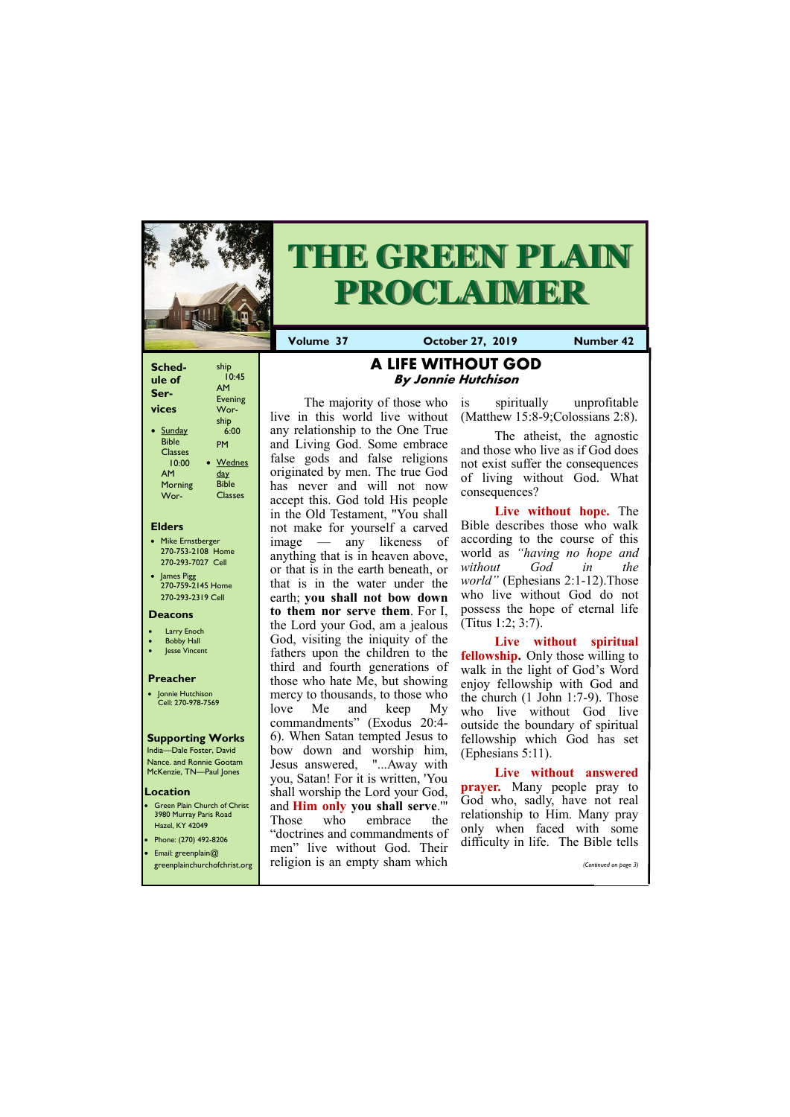| Sched-         | ship           |
|----------------|----------------|
| ule of         | 10:45          |
| Ser-           | <b>AM</b>      |
|                | Evening        |
| vices          | Wor-           |
|                | ship           |
| <b>Sunday</b>  | 6:00           |
| <b>Bible</b>   | PM             |
| <b>Classes</b> |                |
| 10:00          | Wednes         |
| AМ             | <u>day</u>     |
| Morning        | <b>Bible</b>   |
| Wor-           | <b>Classes</b> |
|                |                |

### **Elders**

**Green Plain Church of Christ** 3980 Murray Paris Road Hazel, KY 42049 • Phone: (270) 492-8206

- Mike Ernstberger 270-753-2108 Home 270-293-7027 Cell
- James Pigg 270-759-2145 Home 270-293-2319 Cell

### **Location**



# **THE GREEN PLAIN PROCLAIMER**

**Volume 37 October 27, 2019 Number 42**

### **Deacons**

- **Larry Enoch**
- **Bobby Hall**
- **Jesse Vincent**

### **Preacher**

• Jonnie Hutchison Cell: 270-978-7569

### **Supporting Works**

India—Dale Foster, David Nance. and Ronnie Gootam McKenzie, TN—Paul Jones

## **A LIFE WITHOUT GOD By Jonnie Hutchison**

The majority of those who live in this world live without any relationship to the One True and Living God. Some embrace false gods and false religions originated by men. The true God has never and will not now accept this. God told His people in the Old Testament, "You shall not make for yourself a carved image — any likeness of anything that is in heaven above, or that is in the earth beneath, or that is in the water under the earth; **you shall not bow down to them nor serve them**. For I, the Lord your God, am a jealous God, visiting the iniquity of the fathers upon the children to the third and fourth generations of those who hate Me, but showing mercy to thousands, to those who love Me and keep My commandments" (Exodus 20:4- 6). When Satan tempted Jesus to bow down and worship him, Jesus answered, "...Away with you, Satan! For it is written, 'You shall worship the Lord your God, and **Him only you shall serve**.'" Those who embrace the "doctrines and commandments of

| Email: greenplain $@$        | ' men'' live without God. Their | difficulty in the. The Bible tells |                       |
|------------------------------|---------------------------------|------------------------------------|-----------------------|
| greenplainchurchofchrist.org | religion is an empty sham which |                                    | (Continued on page 3) |
|                              |                                 |                                    |                       |

is spiritually unprofitable (Matthew 15:8-9;Colossians 2:8).

The atheist, the agnostic and those who live as if God does not exist suffer the consequences of living without God. What consequences?

**Live without hope.** The Bible describes those who walk according to the course of this world as *"having no hope and without God in the world"* (Ephesians 2:1-12).Those who live without God do not possess the hope of eternal life (Titus 1:2; 3:7).

**Live without spiritual fellowship.** Only those willing to walk in the light of God's Word enjoy fellowship with God and the church (1 John 1:7-9). Those who live without God live outside the boundary of spiritual fellowship which God has set (Ephesians 5:11).

**Live without answered prayer.** Many people pray to God who, sadly, have not real relationship to Him. Many pray only when faced with some difficulty in life. The Bible tells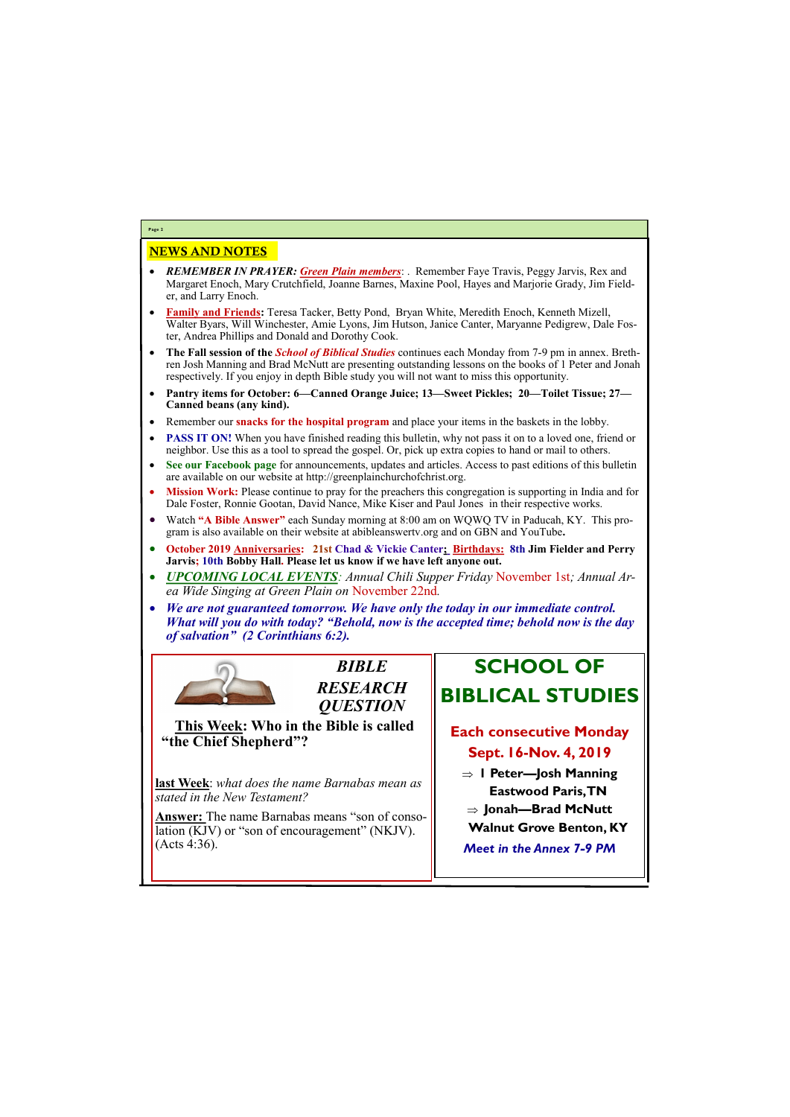## NEWS AND NOTES

- *REMEMBER IN PRAYER: Green Plain members*: . Remember Faye Travis, Peggy Jarvis, Rex and Margaret Enoch, Mary Crutchfield, Joanne Barnes, Maxine Pool, Hayes and Marjorie Grady, Jim Fielder, and Larry Enoch.
- **Family and Friends:** Teresa Tacker, Betty Pond, Bryan White, Meredith Enoch, Kenneth Mizell, Walter Byars, Will Winchester, Amie Lyons, Jim Hutson, Janice Canter, Maryanne Pedigrew, Dale Foster, Andrea Phillips and Donald and Dorothy Cook.
- **The Fall session of the** *School of Biblical Studies* continues each Monday from 7-9 pm in annex. Brethren Josh Manning and Brad McNutt are presenting outstanding lessons on the books of 1 Peter and Jonah respectively. If you enjoy in depth Bible study you will not want to miss this opportunity.
- **Pantry items for October: 6—Canned Orange Juice; 13—Sweet Pickles; 20—Toilet Tissue; 27— Canned beans (any kind).**
- Remember our **snacks for the hospital program** and place your items in the baskets in the lobby.
- **PASS IT ON!** When you have finished reading this bulletin, why not pass it on to a loved one, friend or neighbor. Use this as a tool to spread the gospel. Or, pick up extra copies to hand or mail to others.
- **See our Facebook page** for announcements, updates and articles. Access to past editions of this bulletin are available on our website at http://greenplainchurchofchrist.org.
- **Mission Work:** Please continue to pray for the preachers this congregation is supporting in India and for Dale Foster, Ronnie Gootan, David Nance, Mike Kiser and Paul Jones in their respective works.
- Watch **"A Bible Answer"** each Sunday morning at 8:00 am on WQWQ TV in Paducah, KY. This program is also available on their website at abibleanswertv.org and on GBN and YouTube**.**
- **October 2019 Anniversaries: 21st Chad & Vickie Canter; Birthdays: 8th Jim Fielder and Perry Jarvis; 10th Bobby Hall. Please let us know if we have left anyone out.**
- *UPCOMING LOCAL EVENTS: Annual Chili Supper Friday* November 1st*; Annual Area Wide Singing at Green Plain on* November 22nd*.*
- *We are not guaranteed tomorrow. We have only the today in our immediate control. What will you do with today? "Behold, now is the accepted time; behold now is the day of salvation" (2 Corinthians 6:2).*



**Page 2**

*BIBLE RESEARCH QUESTION*

**This Week: Who in the Bible is called "the Chief Shepherd"?** 

**last Week**: *what does the name Barnabas mean as stated in the New Testament?*

**Answer:** The name Barnabas means "son of consolation (KJV) or "son of encouragement" (NKJV).

## **SCHOOL OF BIBLICAL STUDIES**

## **Each consecutive Monday Sept. 16-Nov. 4, 2019**

| (Acts 4:36). | <b>Meet in the Annex 7-9 PM</b> |
|--------------|---------------------------------|
|              |                                 |

- **1 Peter—Josh Manning Eastwood Paris, TN**
- **Jonah—Brad McNutt**
- **Walnut Grove Benton, KY**
-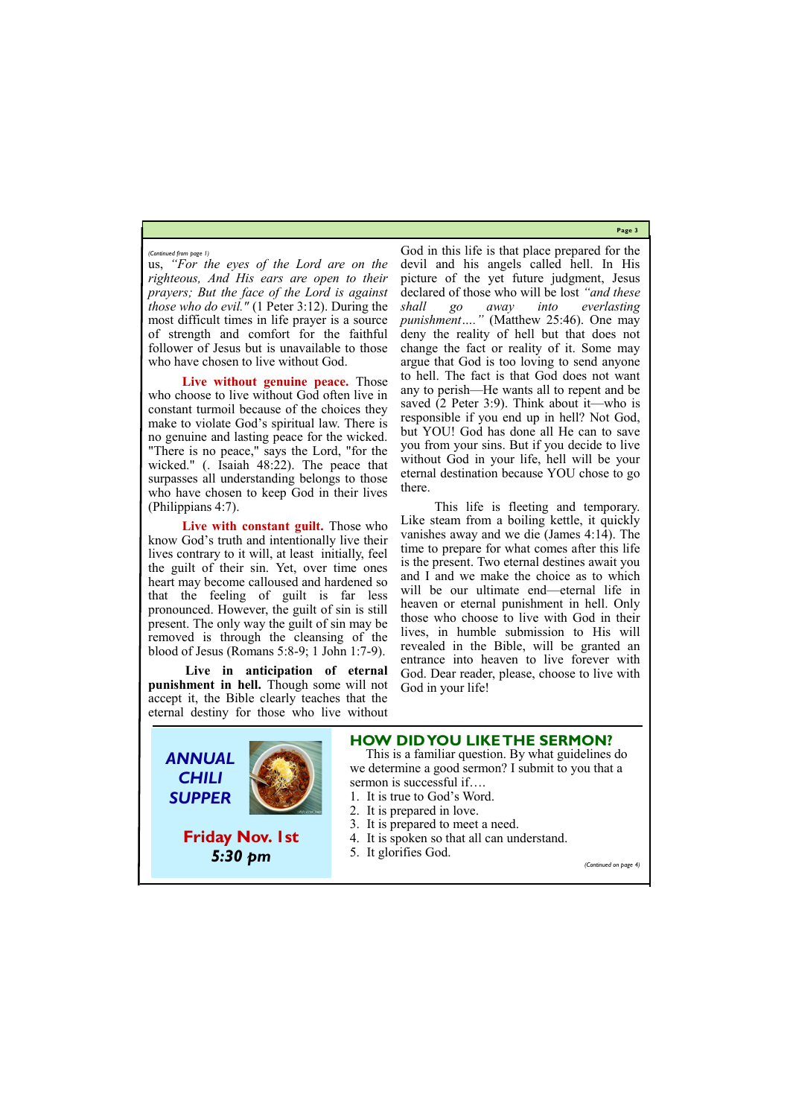**Page 3**

us, *"For the eyes of the Lord are on the righteous, And His ears are open to their prayers; But the face of the Lord is against those who do evil."* (1 Peter 3:12). During the most difficult times in life prayer is a source of strength and comfort for the faithful follower of Jesus but is unavailable to those who have chosen to live without God.

**Live without genuine peace.** Those who choose to live without God often live in constant turmoil because of the choices they make to violate God's spiritual law. There is no genuine and lasting peace for the wicked. "There is no peace," says the Lord, "for the wicked." (. Isaiah 48:22). The peace that surpasses all understanding belongs to those who have chosen to keep God in their lives (Philippians 4:7).

Live with constant guilt. Those who know God's truth and intentionally live their lives contrary to it will, at least initially, feel the guilt of their sin. Yet, over time ones heart may become calloused and hardened so that the feeling of guilt is far less pronounced. However, the guilt of sin is still present. The only way the guilt of sin may be removed is through the cleansing of the blood of Jesus (Romans 5:8-9; 1 John 1:7-9).

**Live in anticipation of eternal punishment in hell.** Though some will not accept it, the Bible clearly teaches that the eternal destiny for those who live without

God in this life is that place prepared for the devil and his angels called hell. In His picture of the yet future judgment, Jesus declared of those who will be lost *"and these shall go away into everlasting punishment…."* (Matthew 25:46). One may deny the reality of hell but that does not change the fact or reality of it. Some may argue that God is too loving to send anyone to hell. The fact is that God does not want any to perish—He wants all to repent and be saved (2 Peter 3:9). Think about it—who is responsible if you end up in hell? Not God, but YOU! God has done all He can to save you from your sins. But if you decide to live without God in your life, hell will be your eternal destination because YOU chose to go there.

This life is fleeting and temporary. Like steam from a boiling kettle, it quickly vanishes away and we die (James 4:14). The time to prepare for what comes after this life is the present. Two eternal destines await you and I and we make the choice as to which will be our ultimate end—eternal life in heaven or eternal punishment in hell. Only those who choose to live with God in their lives, in humble submission to His will revealed in the Bible, will be granted an entrance into heaven to live forever with God. Dear reader, please, choose to live with God in your life!

### *(Continued from page 1)*



## **Friday Nov. 1st**



## **HOW DID YOU LIKE THE SERMON?**

 This is a familiar question. By what guidelines do we determine a good sermon? I submit to you that a sermon is successful if….

- 1. It is true to God's Word.
- 2. It is prepared in love.
- 3. It is prepared to meet a need.
- 4. It is spoken so that all can understand.

5. It glorifies God.

*(Continued on page 4)*